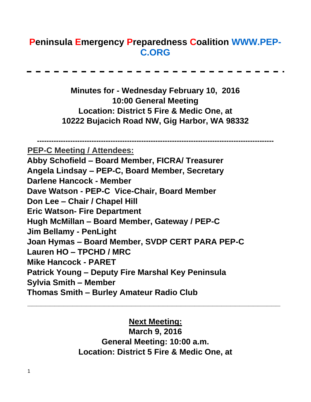# **Peninsula Emergency Preparedness Coalition [WWW.PEP-](http://www.pep-c.org/)[C.ORG](http://www.pep-c.org/)**

**Minutes for - Wednesday February 10, 2016 10:00 General Meeting Location: District 5 Fire & Medic One, at 10222 Bujacich Road NW, Gig Harbor, WA 98332** 

**---------------------------------------------------------------------------------------------------- PEP-C Meeting / Attendees: Abby Schofield – Board Member, FICRA/ Treasurer Angela Lindsay – PEP-C, Board Member, Secretary Darlene Hancock - Member Dave Watson - PEP-C Vice-Chair, Board Member Don Lee – Chair / Chapel Hill Eric Watson- Fire Department Hugh McMillan – Board Member, Gateway / PEP-C Jim Bellamy - PenLight Joan Hymas – Board Member, SVDP CERT PARA PEP-C Lauren HO – TPCHD / MRC Mike Hancock - PARET Patrick Young – Deputy Fire Marshal Key Peninsula Sylvia Smith – Member Thomas Smith – Burley Amateur Radio Club** 

#### **Next Meeting:**

**\_\_\_\_\_\_\_\_\_\_\_\_\_\_\_\_\_\_\_\_\_\_\_\_\_\_\_\_\_\_\_\_\_\_\_\_\_\_\_\_\_\_\_\_\_\_\_\_\_\_\_\_\_\_\_\_**

**March 9, 2016 General Meeting: 10:00 a.m. Location: District 5 Fire & Medic One, at**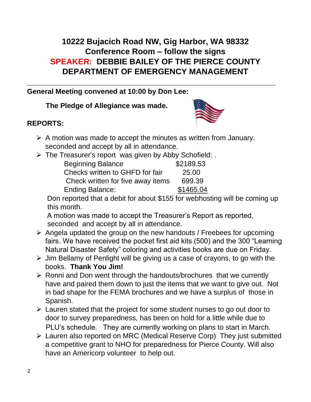# **10222 Bujacich Road NW, Gig Harbor, WA 98332 Conference Room – follow the signs SPEAKER: DEBBIE BAILEY OF THE PIERCE COUNTY DEPARTMENT OF EMERGENCY MANAGEMENT**

**\_\_\_\_\_\_\_\_\_\_\_\_\_\_\_\_\_\_\_\_\_\_\_\_\_\_\_\_\_\_\_\_\_\_\_\_\_\_\_\_\_\_\_\_\_\_\_\_\_\_\_\_\_\_\_** 

### **General Meeting convened at 10:00 by Don Lee:**

#### **The Pledge of Allegiance was made.**

## **REPORTS:**



- $\triangleright$  A motion was made to accept the minutes as written from January. seconded and accept by all in attendance.
- ➢ The Treasurer's report was given by Abby Schofield: .

| <b>Beginning Balance</b>          | \$2189.53 |
|-----------------------------------|-----------|
| Checks written to GHFD for fair   | 25.00     |
| Check written for five away items | 699.39    |
| <b>Ending Balance:</b>            | \$1465.04 |

Don reported that a debit for about \$155 for webhosting will be coming up this month.

A motion was made to accept the Treasurer's Report as reported, seconded and accept by all in attendance.

- $\triangleright$  Angela updated the group on the new handouts / Freebees for upcoming fairs. We have received the pocket first aid kits (500) and the 300 "Learning Natural Disaster Safety" coloring and activities books are due on Friday.
- $\triangleright$  Jim Bellamy of Penlight will be giving us a case of crayons, to go with the books. **Thank You Jim!**
- ➢ Ronni and Don went through the handouts/brochures that we currently have and paired them down to just the items that we want to give out. Not in bad shape for the FEMA brochures and we have a surplus of those in Spanish.
- ➢ Lauren stated that the project for some student nurses to go out door to door to survey preparedness, has been on hold for a little while due to PLU's schedule. They are currently working on plans to start in March.
- ➢ Lauren also reported on MRC (Medical Reserve Corp) They just submitted a competitive grant to NHO for preparedness for Pierce County. Will also have an Americorp volunteer to help out.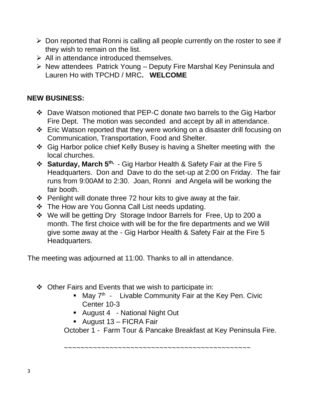- $\triangleright$  Don reported that Ronni is calling all people currently on the roster to see if they wish to remain on the list.
- $\triangleright$  All in attendance introduced themselves.
- ➢ New attendees Patrick Young Deputy Fire Marshal Key Peninsula and Lauren Ho with TPCHD / MRC**. WELCOME**

### **NEW BUSINESS:**

- ❖ Dave Watson motioned that PEP-C donate two barrels to the Gig Harbor Fire Dept. The motion was seconded and accept by all in attendance.
- ❖ Eric Watson reported that they were working on a disaster drill focusing on Communication, Transportation, Food and Shelter.
- ❖ Gig Harbor police chief Kelly Busey is having a Shelter meeting with the local churches.
- ❖ **Saturday, March 5th,**  Gig Harbor Health & Safety Fair at the Fire 5 Headquarters. Don and Dave to do the set-up at 2:00 on Friday. The fair runs from 9:00AM to 2:30. Joan, Ronni and Angela will be working the fair booth.
- $\div$  Penlight will donate three 72 hour kits to give away at the fair.
- ❖ The How are You Gonna Call List needs updating.
- ❖ We will be getting Dry Storage Indoor Barrels for Free, Up to 200 a month. The first choice with will be for the fire departments and we Will give some away at the - Gig Harbor Health & Safety Fair at the Fire 5 Headquarters.

The meeting was adjourned at 11:00. Thanks to all in attendance.

- ❖ Other Fairs and Events that we wish to participate in:
	- $\blacksquare$  May  $7<sup>th</sup>$  Livable Community Fair at the Key Pen. Civic Center 10-3
	- August 4 National Night Out
	- August 13 FICRA Fair

October 1 - Farm Tour & Pancake Breakfast at Key Peninsula Fire.